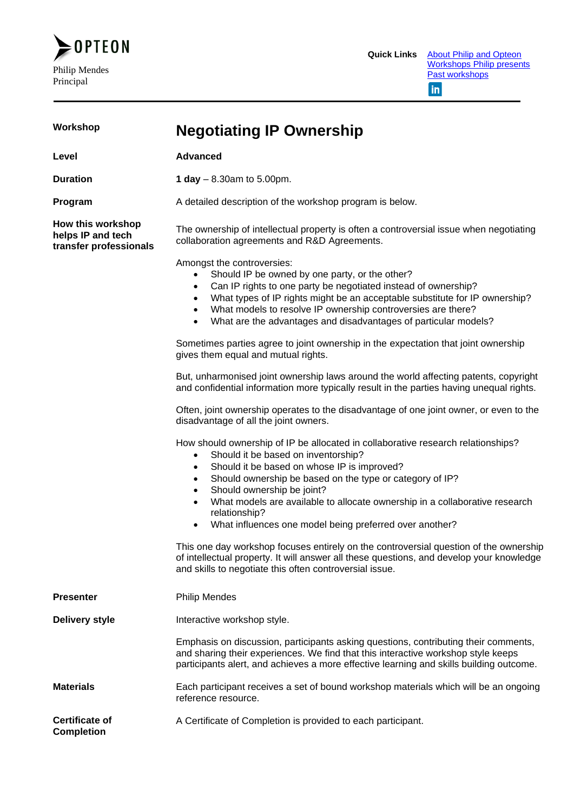

| Workshop                                                         | <b>Negotiating IP Ownership</b>                                                                                                                                                                                                                                                                                                                                                                                                                                                                                                                                                                                                                                                                                                                           |  |
|------------------------------------------------------------------|-----------------------------------------------------------------------------------------------------------------------------------------------------------------------------------------------------------------------------------------------------------------------------------------------------------------------------------------------------------------------------------------------------------------------------------------------------------------------------------------------------------------------------------------------------------------------------------------------------------------------------------------------------------------------------------------------------------------------------------------------------------|--|
| Level                                                            | <b>Advanced</b>                                                                                                                                                                                                                                                                                                                                                                                                                                                                                                                                                                                                                                                                                                                                           |  |
| <b>Duration</b>                                                  | 1 day $-8.30$ am to 5.00pm.                                                                                                                                                                                                                                                                                                                                                                                                                                                                                                                                                                                                                                                                                                                               |  |
| Program                                                          | A detailed description of the workshop program is below.                                                                                                                                                                                                                                                                                                                                                                                                                                                                                                                                                                                                                                                                                                  |  |
| How this workshop<br>helps IP and tech<br>transfer professionals | The ownership of intellectual property is often a controversial issue when negotiating<br>collaboration agreements and R&D Agreements.                                                                                                                                                                                                                                                                                                                                                                                                                                                                                                                                                                                                                    |  |
|                                                                  | Amongst the controversies:<br>Should IP be owned by one party, or the other?<br>Can IP rights to one party be negotiated instead of ownership?<br>$\bullet$<br>What types of IP rights might be an acceptable substitute for IP ownership?<br>$\bullet$<br>What models to resolve IP ownership controversies are there?<br>$\bullet$<br>What are the advantages and disadvantages of particular models?<br>$\bullet$                                                                                                                                                                                                                                                                                                                                      |  |
|                                                                  | Sometimes parties agree to joint ownership in the expectation that joint ownership<br>gives them equal and mutual rights.                                                                                                                                                                                                                                                                                                                                                                                                                                                                                                                                                                                                                                 |  |
|                                                                  | But, unharmonised joint ownership laws around the world affecting patents, copyright<br>and confidential information more typically result in the parties having unequal rights.                                                                                                                                                                                                                                                                                                                                                                                                                                                                                                                                                                          |  |
|                                                                  | Often, joint ownership operates to the disadvantage of one joint owner, or even to the<br>disadvantage of all the joint owners.                                                                                                                                                                                                                                                                                                                                                                                                                                                                                                                                                                                                                           |  |
|                                                                  | How should ownership of IP be allocated in collaborative research relationships?<br>Should it be based on inventorship?<br>$\bullet$<br>Should it be based on whose IP is improved?<br>$\bullet$<br>Should ownership be based on the type or category of IP?<br>$\bullet$<br>Should ownership be joint?<br>$\bullet$<br>What models are available to allocate ownership in a collaborative research<br>$\bullet$<br>relationship?<br>What influences one model being preferred over another?<br>$\bullet$<br>This one day workshop focuses entirely on the controversial question of the ownership<br>of intellectual property. It will answer all these questions, and develop your knowledge<br>and skills to negotiate this often controversial issue. |  |
| <b>Presenter</b>                                                 | <b>Philip Mendes</b>                                                                                                                                                                                                                                                                                                                                                                                                                                                                                                                                                                                                                                                                                                                                      |  |
| <b>Delivery style</b>                                            | Interactive workshop style.                                                                                                                                                                                                                                                                                                                                                                                                                                                                                                                                                                                                                                                                                                                               |  |
|                                                                  | Emphasis on discussion, participants asking questions, contributing their comments,<br>and sharing their experiences. We find that this interactive workshop style keeps<br>participants alert, and achieves a more effective learning and skills building outcome.                                                                                                                                                                                                                                                                                                                                                                                                                                                                                       |  |
| <b>Materials</b>                                                 | Each participant receives a set of bound workshop materials which will be an ongoing<br>reference resource.                                                                                                                                                                                                                                                                                                                                                                                                                                                                                                                                                                                                                                               |  |
| <b>Certificate of</b><br><b>Completion</b>                       | A Certificate of Completion is provided to each participant.                                                                                                                                                                                                                                                                                                                                                                                                                                                                                                                                                                                                                                                                                              |  |